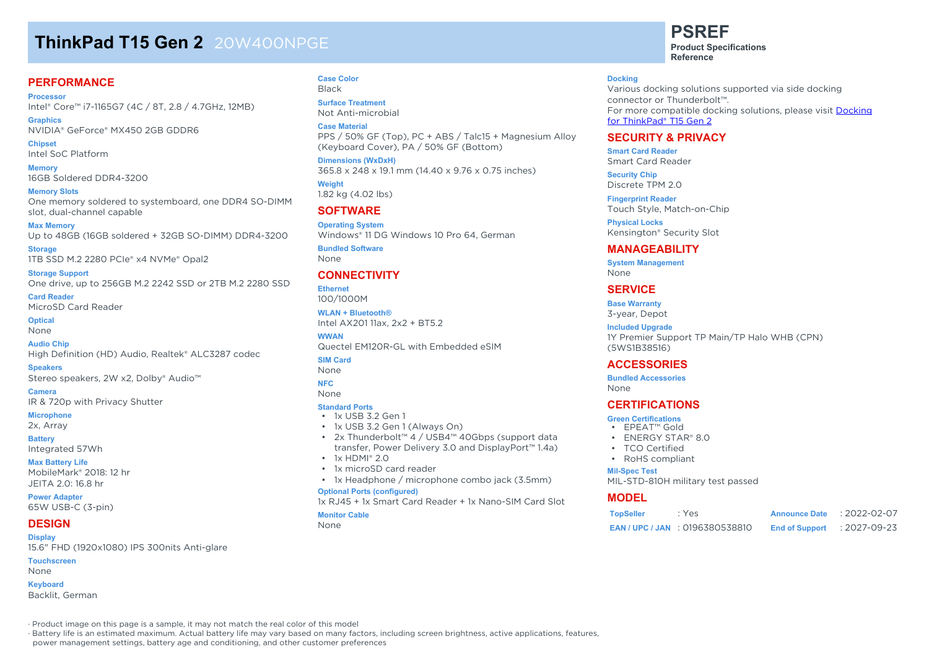# **ThinkPad T15 Gen 2** 20W400NPGE

### **PERFORMANCE**

**Processor** Intel® Core™ i7-1165G7 (4C / 8T, 2.8 / 4.7GHz, 12MB)

**Graphics** NVIDIA® GeForce® MX450 2GB GDDR6

**Chipset** Intel SoC Platform

**Memory** 16GB Soldered DDR4-3200

**Memory Slots** One memory soldered to systemboard, one DDR4 SO-DIMM slot, dual-channel capable

**Max Memory** Up to 48GB (16GB soldered + 32GB SO-DIMM) DDR4-3200

**Storage** 1TB SSD M.2 2280 PCIe® x4 NVMe® Opal2

**Storage Support** One drive, up to 256GB M.2 2242 SSD or 2TB M.2 2280 SSD

**Card Reader** MicroSD Card Reader

**Optical** None

**Audio Chip** High Definition (HD) Audio, Realtek® ALC3287 codec

**Speakers** Stereo speakers, 2W x2, Dolby® Audio™

**Camera** IR & 720p with Privacy Shutter

#### **Microphone**

2x, Array

**Battery**

Integrated 57Wh

**Max Battery Life** MobileMark® 2018: 12 hr JEITA 2.0: 16.8 hr

**Power Adapter** 65W USB-C (3-pin)

#### **DESIGN Display**

15.6" FHD (1920x1080) IPS 300nits Anti-glare **Touchscreen**

None

**Keyboard** Backlit, German **Case Color** Black

**Surface Treatment** Not Anti-microbial

**Case Material** PPS / 50% GF (Top), PC + ABS / Talc15 + Magnesium Alloy (Keyboard Cover), PA / 50% GF (Bottom)

**Dimensions (WxDxH)** 365.8 x 248 x 19.1 mm (14.40 x 9.76 x 0.75 inches)

**Weight** 1.82 kg (4.02 lbs)

## **SOFTWARE**

**Operating System** Windows® 11 DG Windows 10 Pro 64, German

**Bundled Software** None

## **CONNECTIVITY**

**Ethernet** 100/1000M

**WLAN + Bluetooth®** Intel AX201 11ax, 2x2 + BT5.2

**WWAN** Quectel EM120R-GL with Embedded eSIM

**SIM Card**

None

#### **NFC** None

**Standard Ports**

- 1x USB 3.2 Gen 1
- 1x USB 3.2 Gen 1 (Always On)
- 2x Thunderbolt™ 4 / USB4™ 40Gbps (support data transfer, Power Delivery 3.0 and DisplayPort™ 1.4a)
- $\cdot$  1x HDMI® 2.0
- 1x microSD card reader
- 1x Headphone / microphone combo jack (3.5mm)

## **Optional Ports (configured)**

1x RJ45 + 1x Smart Card Reader + 1x Nano-SIM Card Slot

#### **Monitor Cable**

None

# **PSREF**

**Product Specifications Reference**

#### **Docking**

Various docking solutions supported via side docking connector or Thunderbolt™. For more compatible docking solutions, please visit Docking for ThinkPad® T15 Gen 2

## **SECURITY & PRIVACY**

**Smart Card Reader** Smart Card Reader

**Security Chip** Discrete TPM 2.0

**Fingerprint Reader** Touch Style, Match-on-Chip

**Physical Locks** Kensington® Security Slot

## **MANAGEABILITY**

**System Management** None

## **SERVICE**

**Base Warranty** 3-year, Depot

#### **Included Upgrade**

1Y Premier Support TP Main/TP Halo WHB (CPN) (5WS1B38516)

## **ACCESSORIES**

**Bundled Accessories**

None

## **CERTIFICATIONS**

#### **Green Certifications**

- EPEAT™ Gold
- **ENERGY STAR® 8.0**
- TCO Certified
- RoHS compliant

#### **Mil-Spec Test**

MIL-STD-810H military test passed

### **MODEL**

| <b>TopSeller</b> | : Yes                              | <b>Announce Date</b>  | $: 2022 - 02 - 07$ |
|------------------|------------------------------------|-----------------------|--------------------|
|                  | <b>EAN/UPC/JAN : 0196380538810</b> | <b>End of Support</b> | : 2027-09-23       |

· Product image on this page is a sample, it may not match the real color of this model

· Battery life is an estimated maximum. Actual battery life may vary based on many factors, including screen brightness, active applications, features,

power management settings, battery age and conditioning, and other customer preferences